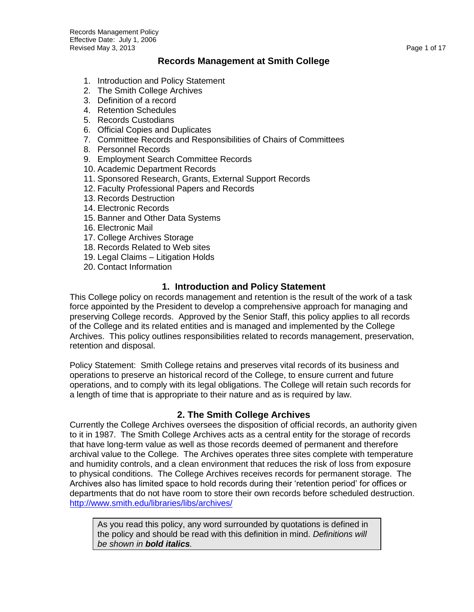#### **Records Management at Smith College**

- 1. Introduction and Policy Statement
- 2. The Smith College Archives
- 3. Definition of a record
- 4. Retention Schedules
- 5. Records Custodians
- 6. Official Copies and Duplicates
- 7. Committee Records and Responsibilities of Chairs of Committees
- 8. Personnel Records
- 9. Employment Search Committee Records
- 10. Academic Department Records
- 11. Sponsored Research, Grants, External Support Records
- 12. Faculty Professional Papers and Records
- 13. Records Destruction
- 14. Electronic Records
- 15. Banner and Other Data Systems
- 16. Electronic Mail
- 17. College Archives Storage
- 18. Records Related to Web sites
- 19. Legal Claims Litigation Holds
- 20. Contact Information

#### **1. Introduction and Policy Statement**

This College policy on records management and retention is the result of the work of a task force appointed by the President to develop a comprehensive approach for managing and preserving College records. Approved by the Senior Staff, this policy applies to all records of the College and its related entities and is managed and implemented by the College Archives. This policy outlines responsibilities related to records management, preservation, retention and disposal.

Policy Statement: Smith College retains and preserves vital records of its business and operations to preserve an historical record of the College, to ensure current and future operations, and to comply with its legal obligations. The College will retain such records for a length of time that is appropriate to their nature and as is required by law.

#### **2. The Smith College Archives**

Currently the College Archives oversees the disposition of official records, an authority given to it in 1987. The Smith College Archives acts as a central entity for the storage of records that have long-term value as well as those records deemed of permanent and therefore archival value to the College. The Archives operates three sites complete with temperature and humidity controls, and a clean environment that reduces the risk of loss from exposure to physical conditions. The College Archives receives records for permanent storage. The Archives also has limited space to hold records during their "retention period" for offices or departments that do not have room to store their own records before scheduled destruction. <http://www.smith.edu/libraries/libs/archives/>

As you read this policy, any word surrounded by quotations is defined in the policy and should be read with this definition in mind. *Definitions will be shown in bold italics.*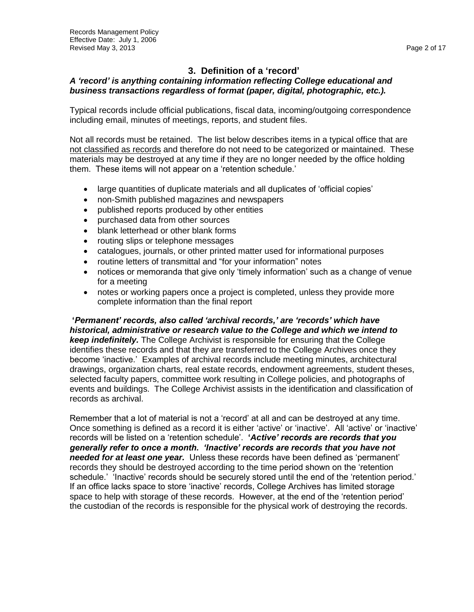### **3. Definition of a 'record'**

#### *A 'record' is anything containing information reflecting College educational and business transactions regardless of format (paper, digital, photographic, etc.).*

Typical records include official publications, fiscal data, incoming/outgoing correspondence including email, minutes of meetings, reports, and student files.

Not all records must be retained. The list below describes items in a typical office that are not classified as records and therefore do not need to be categorized or maintained. These materials may be destroyed at any time if they are no longer needed by the office holding them. These items will not appear on a "retention schedule."

- large quantities of duplicate materials and all duplicates of 'official copies'
- non-Smith published magazines and newspapers
- published reports produced by other entities
- purchased data from other sources
- blank letterhead or other blank forms
- routing slips or telephone messages
- catalogues, journals, or other printed matter used for informational purposes
- routine letters of transmittal and "for your information" notes
- notices or memoranda that give only "timely information" such as a change of venue for a meeting
- notes or working papers once a project is completed, unless they provide more complete information than the final report

**'***Permanent' records, also called 'archival records,' are 'records' which have historical, administrative or research value to the College and which we intend to keep indefinitely.* The College Archivist is responsible for ensuring that the College identifies these records and that they are transferred to the College Archives once they become "inactive." Examples of archival records include meeting minutes, architectural drawings, organization charts, real estate records, endowment agreements, student theses, selected faculty papers, committee work resulting in College policies, and photographs of events and buildings. The College Archivist assists in the identification and classification of records as archival.

Remember that a lot of material is not a "record" at all and can be destroyed at any time. Once something is defined as a record it is either 'active' or 'inactive'. All 'active' or 'inactive' records will be listed on a "retention schedule". **'***Active' records are records that you generally refer to once a month. 'Inactive' records are records that you have not needed for at least one year.* Unless these records have been defined as "permanent" records they should be destroyed according to the time period shown on the "retention schedule.' 'Inactive' records should be securely stored until the end of the 'retention period.' If an office lacks space to store "inactive" records, College Archives has limited storage space to help with storage of these records. However, at the end of the "retention period" the custodian of the records is responsible for the physical work of destroying the records.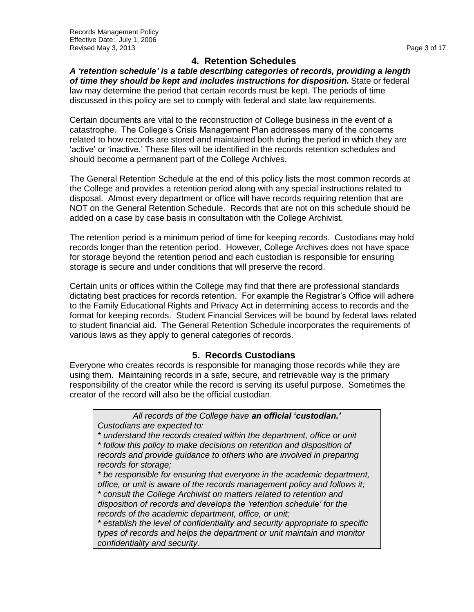### **4. Retention Schedules**

*A 'retention schedule' is a table describing categories of records, providing a length of time they should be kept and includes instructions for disposition.* State or federal law may determine the period that certain records must be kept. The periods of time discussed in this policy are set to comply with federal and state law requirements.

Certain documents are vital to the reconstruction of College business in the event of a catastrophe. The College"s Crisis Management Plan addresses many of the concerns related to how records are stored and maintained both during the period in which they are 'active' or 'inactive.' These files will be identified in the records retention schedules and should become a permanent part of the College Archives.

The General Retention Schedule at the end of this policy lists the most common records at the College and provides a retention period along with any special instructions related to disposal. Almost every department or office will have records requiring retention that are NOT on the General Retention Schedule. Records that are not on this schedule should be added on a case by case basis in consultation with the College Archivist.

The retention period is a minimum period of time for keeping records. Custodians may hold records longer than the retention period. However, College Archives does not have space for storage beyond the retention period and each custodian is responsible for ensuring storage is secure and under conditions that will preserve the record.

Certain units or offices within the College may find that there are professional standards dictating best practices for records retention. For example the Registrar"s Office will adhere to the Family Educational Rights and Privacy Act in determining access to records and the format for keeping records. Student Financial Services will be bound by federal laws related to student financial aid. The General Retention Schedule incorporates the requirements of various laws as they apply to general categories of records.

### **5. Records Custodians**

Everyone who creates records is responsible for managing those records while they are using them. Maintaining records in a safe, secure, and retrievable way is the primary responsibility of the creator while the record is serving its useful purpose. Sometimes the creator of the record will also be the official custodian.

*All records of the College have an official 'custodian.' Custodians are expected to:*

*\* understand the records created within the department, office or unit \* follow this policy to make decisions on retention and disposition of records and provide guidance to others who are involved in preparing records for storage;*

*\* be responsible for ensuring that everyone in the academic department, office, or unit is aware of the records management policy and follows it; \* consult the College Archivist on matters related to retention and disposition of records and develops the 'retention schedule' for the records of the academic department, office, or unit;*

*\* establish the level of confidentiality and security appropriate to specific types of records and helps the department or unit maintain and monitor confidentiality and security.*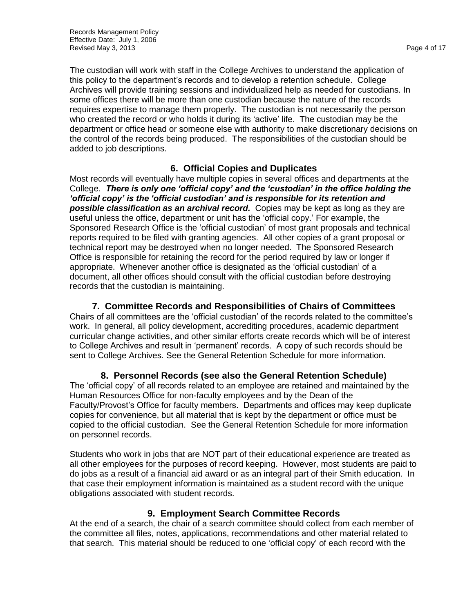The custodian will work with staff in the College Archives to understand the application of this policy to the department"s records and to develop a retention schedule. College Archives will provide training sessions and individualized help as needed for custodians. In some offices there will be more than one custodian because the nature of the records requires expertise to manage them properly. The custodian is not necessarily the person who created the record or who holds it during its 'active' life. The custodian may be the department or office head or someone else with authority to make discretionary decisions on the control of the records being produced. The responsibilities of the custodian should be added to job descriptions.

### **6. Official Copies and Duplicates**

Most records will eventually have multiple copies in several offices and departments at the College. *There is only one 'official copy' and the 'custodian' in the office holding the 'official copy' is the 'official custodian' and is responsible for its retention and possible classification as an archival record.* Copies may be kept as long as they are useful unless the office, department or unit has the "official copy." For example, the Sponsored Research Office is the "official custodian" of most grant proposals and technical reports required to be filed with granting agencies. All other copies of a grant proposal or technical report may be destroyed when no longer needed. The Sponsored Research Office is responsible for retaining the record for the period required by law or longer if appropriate. Whenever another office is designated as the "official custodian" of a document, all other offices should consult with the official custodian before destroying records that the custodian is maintaining.

**7. Committee Records and Responsibilities of Chairs of Committees** Chairs of all committees are the "official custodian" of the records related to the committee"s work. In general, all policy development, accrediting procedures, academic department curricular change activities, and other similar efforts create records which will be of interest to College Archives and result in "permanent" records. A copy of such records should be sent to College Archives. See the General Retention Schedule for more information.

**8. Personnel Records (see also the General Retention Schedule)** The "official copy" of all records related to an employee are retained and maintained by the Human Resources Office for non-faculty employees and by the Dean of the Faculty/Provost"s Office for faculty members. Departments and offices may keep duplicate copies for convenience, but all material that is kept by the department or office must be copied to the official custodian. See the General Retention Schedule for more information on personnel records.

Students who work in jobs that are NOT part of their educational experience are treated as all other employees for the purposes of record keeping. However, most students are paid to do jobs as a result of a financial aid award or as an integral part of their Smith education. In that case their employment information is maintained as a student record with the unique obligations associated with student records.

#### **9. Employment Search Committee Records**

At the end of a search, the chair of a search committee should collect from each member of the committee all files, notes, applications, recommendations and other material related to that search. This material should be reduced to one "official copy" of each record with the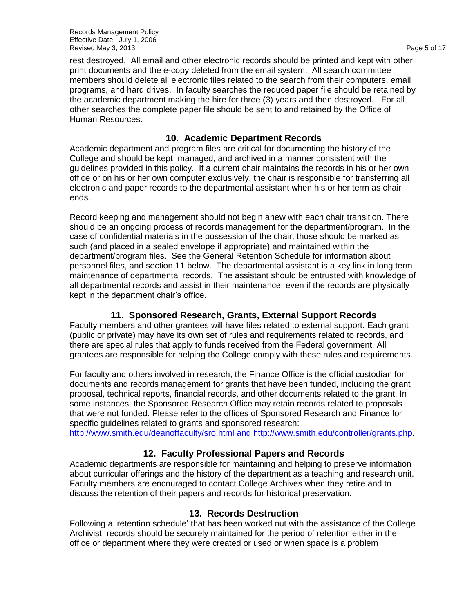Records Management Policy Effective Date: July 1, 2006 Revised May 3, 2013 **Page 5 of 17** and the extent of the extent of the extent of the extent of the extent of the extent of the extent of the extent of the extent of the extent of the extent of the extent of the extent of t

rest destroyed. All email and other electronic records should be printed and kept with other print documents and the e-copy deleted from the email system. All search committee members should delete all electronic files related to the search from their computers, email programs, and hard drives. In faculty searches the reduced paper file should be retained by the academic department making the hire for three (3) years and then destroyed. For all other searches the complete paper file should be sent to and retained by the Office of Human Resources.

#### **10. Academic Department Records**

Academic department and program files are critical for documenting the history of the College and should be kept, managed, and archived in a manner consistent with the guidelines provided in this policy. If a current chair maintains the records in his or her own office or on his or her own computer exclusively, the chair is responsible for transferring all electronic and paper records to the departmental assistant when his or her term as chair ends.

Record keeping and management should not begin anew with each chair transition. There should be an ongoing process of records management for the department/program. In the case of confidential materials in the possession of the chair, those should be marked as such (and placed in a sealed envelope if appropriate) and maintained within the department/program files. See the General Retention Schedule for information about personnel files, and section 11 below. The departmental assistant is a key link in long term maintenance of departmental records. The assistant should be entrusted with knowledge of all departmental records and assist in their maintenance, even if the records are physically kept in the department chair"s office.

### **11. Sponsored Research, Grants, External Support Records**

Faculty members and other grantees will have files related to external support. Each grant (public or private) may have its own set of rules and requirements related to records, and there are special rules that apply to funds received from the Federal government. All grantees are responsible for helping the College comply with these rules and requirements.

For faculty and others involved in research, the Finance Office is the official custodian for documents and records management for grants that have been funded, including the grant proposal, technical reports, financial records, and other documents related to the grant. In some instances, the Sponsored Research Office may retain records related to proposals that were not funded. Please refer to the offices of Sponsored Research and Finance for specific guidelines related to grants and sponsored research:

<http://www.smith.edu/deanoffaculty/sro.html> and [http://www.smith.edu/controller/grants.php.](http://www.smith.edu/controller/grants.php)

#### **12. Faculty Professional Papers and Records**

Academic departments are responsible for maintaining and helping to preserve information about curricular offerings and the history of the department as a teaching and research unit. Faculty members are encouraged to contact College Archives when they retire and to discuss the retention of their papers and records for historical preservation.

#### **13. Records Destruction**

Following a "retention schedule" that has been worked out with the assistance of the College Archivist, records should be securely maintained for the period of retention either in the office or department where they were created or used or when space is a problem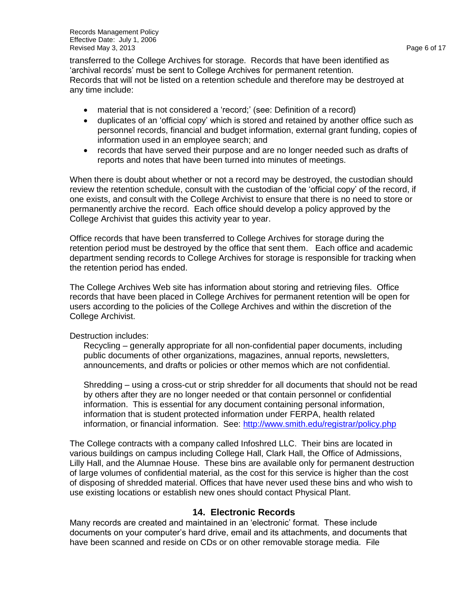Records Management Policy Effective Date: July 1, 2006 Revised May 3, 2013 **Page 6 of 17** and the extent of the extent of the extent of the extent of the extent of the extent of the extent of the extent of the extent of the extent of the extent of the extent of the extent of t

transferred to the College Archives for storage. Records that have been identified as "archival records" must be sent to College Archives for permanent retention. Records that will not be listed on a retention schedule and therefore may be destroyed at any time include:

- material that is not considered a 'record;' (see: Definition of a record)
- duplicates of an "official copy" which is stored and retained by another office such as personnel records, financial and budget information, external grant funding, copies of information used in an employee search; and
- records that have served their purpose and are no longer needed such as drafts of reports and notes that have been turned into minutes of meetings.

When there is doubt about whether or not a record may be destroyed, the custodian should review the retention schedule, consult with the custodian of the "official copy" of the record, if one exists, and consult with the College Archivist to ensure that there is no need to store or permanently archive the record. Each office should develop a policy approved by the College Archivist that guides this activity year to year.

Office records that have been transferred to College Archives for storage during the retention period must be destroyed by the office that sent them. Each office and academic department sending records to College Archives for storage is responsible for tracking when the retention period has ended.

The College Archives Web site has information about storing and retrieving files. Office records that have been placed in College Archives for permanent retention will be open for users according to the policies of the College Archives and within the discretion of the College Archivist.

Destruction includes:

Recycling – generally appropriate for all non-confidential paper documents, including public documents of other organizations, magazines, annual reports, newsletters, announcements, and drafts or policies or other memos which are not confidential.

Shredding – using a cross-cut or strip shredder for all documents that should not be read by others after they are no longer needed or that contain personnel or confidential information. This is essential for any document containing personal information, information that is student protected information under FERPA, health related information, or financial information. See:<http://www.smith.edu/registrar/policy.php>

The College contracts with a company called Infoshred LLC. Their bins are located in various buildings on campus including College Hall, Clark Hall, the Office of Admissions, Lilly Hall, and the Alumnae House. These bins are available only for permanent destruction of large volumes of confidential material, as the cost for this service is higher than the cost of disposing of shredded material. Offices that have never used these bins and who wish to use existing locations or establish new ones should contact Physical Plant.

#### **14. Electronic Records**

Many records are created and maintained in an "electronic" format. These include documents on your computer"s hard drive, email and its attachments, and documents that have been scanned and reside on CDs or on other removable storage media. File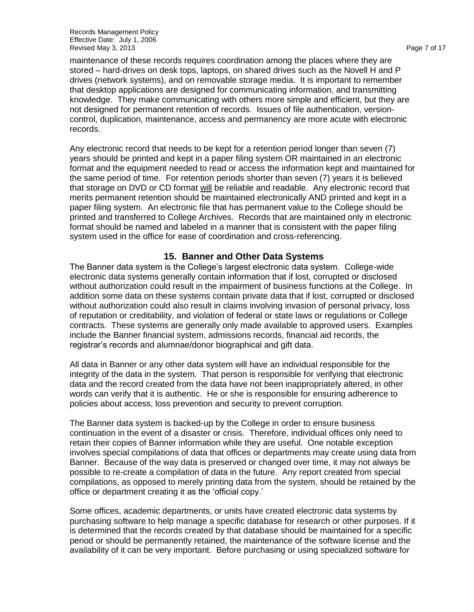Records Management Policy Effective Date: July 1, 2006 Revised May 3, 2013 **Page 7 of 17** and 2013 **Page 7 of 17** and 2019 **Page 7 of 17** 

maintenance of these records requires coordination among the places where they are stored – hard-drives on desk tops, laptops, on shared drives such as the Novell H and P drives (network systems), and on removable storage media. It is important to remember that desktop applications are designed for communicating information, and transmitting knowledge. They make communicating with others more simple and efficient, but they are not designed for permanent retention of records. Issues of file authentication, versioncontrol, duplication, maintenance, access and permanency are more acute with electronic records.

Any electronic record that needs to be kept for a retention period longer than seven (7) years should be printed and kept in a paper filing system OR maintained in an electronic format and the equipment needed to read or access the information kept and maintained for the same period of time. For retention periods shorter than seven (7) years it is believed that storage on DVD or CD format will be reliable and readable. Any electronic record that merits permanent retention should be maintained electronically AND printed and kept in a paper filing system. An electronic file that has permanent value to the College should be printed and transferred to College Archives. Records that are maintained only in electronic format should be named and labeled in a manner that is consistent with the paper filing system used in the office for ease of coordination and cross-referencing.

#### **15. Banner and Other Data Systems**

The Banner data system is the College"s largest electronic data system. College-wide electronic data systems generally contain information that if lost, corrupted or disclosed without authorization could result in the impairment of business functions at the College. In addition some data on these systems contain private data that if lost, corrupted or disclosed without authorization could also result in claims involving invasion of personal privacy, loss of reputation or creditability, and violation of federal or state laws or regulations or College contracts. These systems are generally only made available to approved users. Examples include the Banner financial system, admissions records, financial aid records, the registrar"s records and alumnae/donor biographical and gift data.

All data in Banner or any other data system will have an individual responsible for the integrity of the data in the system. That person is responsible for verifying that electronic data and the record created from the data have not been inappropriately altered, in other words can verify that it is authentic. He or she is responsible for ensuring adherence to policies about access, loss prevention and security to prevent corruption.

The Banner data system is backed-up by the College in order to ensure business continuation in the event of a disaster or crisis. Therefore, individual offices only need to retain their copies of Banner information while they are useful. One notable exception involves special compilations of data that offices or departments may create using data from Banner. Because of the way data is preserved or changed over time, it may not always be possible to re-create a compilation of data in the future. Any report created from special compilations, as opposed to merely printing data from the system, should be retained by the office or department creating it as the "official copy."

Some offices, academic departments, or units have created electronic data systems by purchasing software to help manage a specific database for research or other purposes. If it is determined that the records created by that database should be maintained for a specific period or should be permanently retained, the maintenance of the software license and the availability of it can be very important. Before purchasing or using specialized software for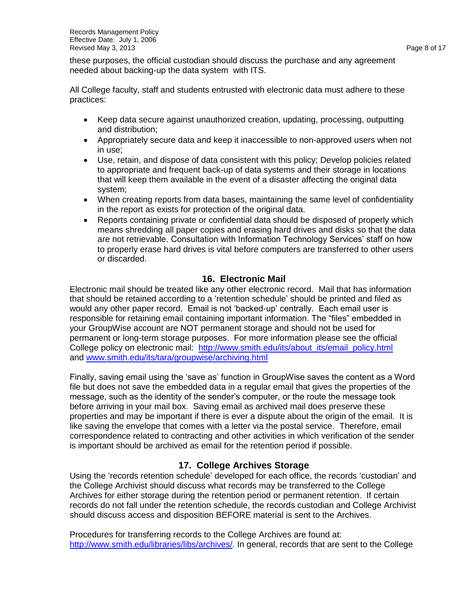these purposes, the official custodian should discuss the purchase and any agreement needed about backing-up the data system with ITS.

All College faculty, staff and students entrusted with electronic data must adhere to these practices:

- Keep data secure against unauthorized creation, updating, processing, outputting and distribution;
- Appropriately secure data and keep it inaccessible to non-approved users when not in use;
- Use, retain, and dispose of data consistent with this policy; Develop policies related to appropriate and frequent back-up of data systems and their storage in locations that will keep them available in the event of a disaster affecting the original data system;
- When creating reports from data bases, maintaining the same level of confidentiality in the report as exists for protection of the original data.
- Reports containing private or confidential data should be disposed of properly which means shredding all paper copies and erasing hard drives and disks so that the data are not retrievable. Consultation with Information Technology Services" staff on how to properly erase hard drives is vital before computers are transferred to other users or discarded.

#### **16. Electronic Mail**

Electronic mail should be treated like any other electronic record. Mail that has information that should be retained according to a "retention schedule" should be printed and filed as would any other paper record. Email is not "backed-up" centrally. Each email user is responsible for retaining email containing important information. The "files" embedded in your GroupWise account are NOT permanent storage and should not be used for permanent or long-term storage purposes. For more information please see the official College policy on electronic mail: [http://www.smith.edu/its/about\\_its/email\\_policy.html](http://www.smith.edu/its/about_its/email_policy.html) and [www.smith.edu/its/tara/groupwise/archiving.html](http://www.smith.edu/its/tara/groupwise/archiving.html)

Finally, saving email using the "save as" function in GroupWise saves the content as a Word file but does not save the embedded data in a regular email that gives the properties of the message, such as the identity of the sender"s computer, or the route the message took before arriving in your mail box. Saving email as archived mail does preserve these properties and may be important if there is ever a dispute about the origin of the email. It is like saving the envelope that comes with a letter via the postal service. Therefore, email correspondence related to contracting and other activities in which verification of the sender is important should be archived as email for the retention period if possible.

#### **17. College Archives Storage**

Using the 'records retention schedule' developed for each office, the records 'custodian' and the College Archivist should discuss what records may be transferred to the College Archives for either storage during the retention period or permanent retention. If certain records do not fall under the retention schedule, the records custodian and College Archivist should discuss access and disposition BEFORE material is sent to the Archives.

Procedures for transferring records to the College Archives are found at: [http://www.smith.edu/libraries/libs/archives/.](http://www.smith.edu/libraries/libs/archives/) In general, records that are sent to the College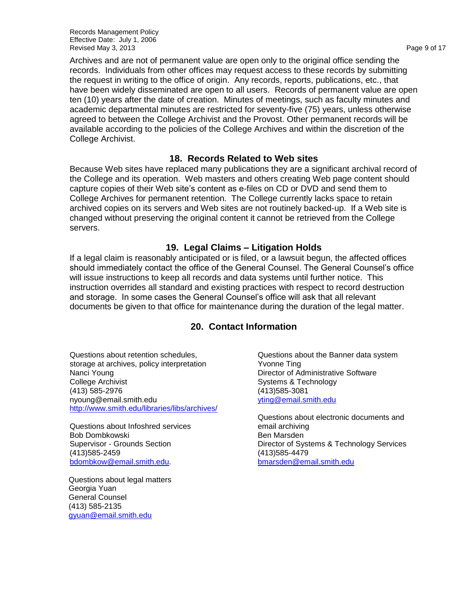Records Management Policy Effective Date: July 1, 2006 Revised May 3, 2013 **Page 9 of 17** and the extent of the extent of the extent of the extent of the extent of the extent of the extent of the extent of the extent of the extent of the extent of the extent of the extent of t

Archives and are not of permanent value are open only to the original office sending the records. Individuals from other offices may request access to these records by submitting the request in writing to the office of origin. Any records, reports, publications, etc., that have been widely disseminated are open to all users. Records of permanent value are open ten (10) years after the date of creation. Minutes of meetings, such as faculty minutes and academic departmental minutes are restricted for seventy-five (75) years, unless otherwise agreed to between the College Archivist and the Provost. Other permanent records will be available according to the policies of the College Archives and within the discretion of the College Archivist.

#### **18. Records Related to Web sites**

Because Web sites have replaced many publications they are a significant archival record of the College and its operation. Web masters and others creating Web page content should capture copies of their Web site"s content as e-files on CD or DVD and send them to College Archives for permanent retention. The College currently lacks space to retain archived copies on its servers and Web sites are not routinely backed-up. If a Web site is changed without preserving the original content it cannot be retrieved from the College servers.

#### **19. Legal Claims – Litigation Holds**

If a legal claim is reasonably anticipated or is filed, or a lawsuit begun, the affected offices should immediately contact the office of the General Counsel. The General Counsel"s office will issue instructions to keep all records and data systems until further notice. This instruction overrides all standard and existing practices with respect to record destruction and storage. In some cases the General Counsel"s office will ask that all relevant documents be given to that office for maintenance during the duration of the legal matter.

#### **20. Contact Information**

Questions about retention schedules, storage at archives, policy interpretation Nanci Young College Archivist (413) 585-2976 [nyoung@email.smith.edu](mailto:nyoung@email.smith.edu) <http://www.smith.edu/libraries/libs/archives/>

Questions about Infoshred services Bob Dombkowski Supervisor - Grounds Section (413)585-2459 [bdombkow@email.smith.edu.](mailto:bdombkow@email.smith.edu?subject=Feedback%20from%20the%20Smith%20Directory)

Questions about legal matters Georgia Yuan General Counsel (413) 585-2135 [gyuan@email.smith.edu](mailto:gyuan@email.smith.edu)

Questions about the Banner data system Yvonne Ting Director of Administrative Software Systems & Technology (413)585-3081 [yting@email.smith.edu](mailto:yting@email.smith.edu?subject=Contacting%20you%20via%20the%20Smith%20College%20online%20directory)

Questions about electronic documents and email archiving Ben Marsden Director of Systems & Technology Services (413)585-4479 [bmarsden@email.smith.edu](mailto:bmarsden@email.smith.edu?subject=Contacting%20you%20via%20the%20Smith%20College%20online%20directory)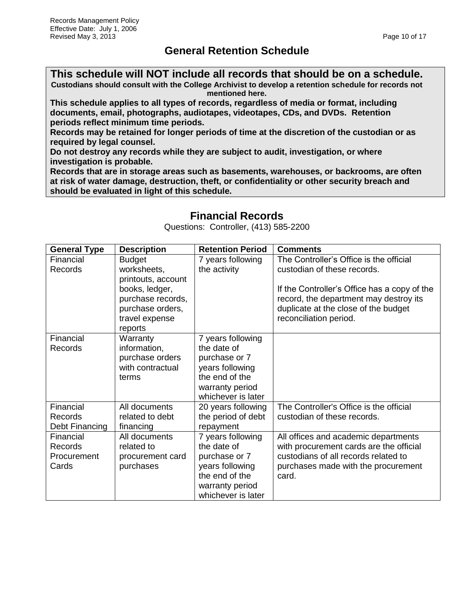## **General Retention Schedule**

**This schedule will NOT include all records that should be on a schedule. Custodians should consult with the College Archivist to develop a retention schedule for records not mentioned here.**

**This schedule applies to all types of records, regardless of media or format, including documents, email, photographs, audiotapes, videotapes, CDs, and DVDs. Retention periods reflect minimum time periods.**

**Records may be retained for longer periods of time at the discretion of the custodian or as required by legal counsel.**

**Do not destroy any records while they are subject to audit, investigation, or where investigation is probable.** 

**Records that are in storage areas such as basements, warehouses, or backrooms, are often at risk of water damage, destruction, theft, or confidentiality or other security breach and should be evaluated in light of this schedule.**

## **Financial Records**

Questions: Controller, (413) 585-2200

| <b>General Type</b> | <b>Description</b>                                                                                         | <b>Retention Period</b>           | <b>Comments</b>                                                                                                                                          |
|---------------------|------------------------------------------------------------------------------------------------------------|-----------------------------------|----------------------------------------------------------------------------------------------------------------------------------------------------------|
| Financial           | <b>Budget</b>                                                                                              | 7 years following                 | The Controller's Office is the official                                                                                                                  |
| Records             | worksheets,                                                                                                | the activity                      | custodian of these records.                                                                                                                              |
|                     | printouts, account<br>books, ledger,<br>purchase records,<br>purchase orders,<br>travel expense<br>reports |                                   | If the Controller's Office has a copy of the<br>record, the department may destroy its<br>duplicate at the close of the budget<br>reconciliation period. |
| Financial           | Warranty                                                                                                   | 7 years following                 |                                                                                                                                                          |
| Records             | information,                                                                                               | the date of                       |                                                                                                                                                          |
|                     | purchase orders                                                                                            | purchase or 7                     |                                                                                                                                                          |
|                     | with contractual<br>terms                                                                                  | years following<br>the end of the |                                                                                                                                                          |
|                     |                                                                                                            | warranty period                   |                                                                                                                                                          |
|                     |                                                                                                            | whichever is later                |                                                                                                                                                          |
| Financial           | All documents                                                                                              | 20 years following                | The Controller's Office is the official                                                                                                                  |
| <b>Records</b>      | related to debt                                                                                            | the period of debt                | custodian of these records.                                                                                                                              |
| Debt Financing      | financing                                                                                                  | repayment                         |                                                                                                                                                          |
| Financial           | All documents                                                                                              | 7 years following                 | All offices and academic departments                                                                                                                     |
| <b>Records</b>      | related to                                                                                                 | the date of                       | with procurement cards are the official                                                                                                                  |
| Procurement         | procurement card                                                                                           | purchase or 7                     | custodians of all records related to                                                                                                                     |
| Cards               | purchases                                                                                                  | years following                   | purchases made with the procurement                                                                                                                      |
|                     |                                                                                                            | the end of the                    | card.                                                                                                                                                    |
|                     |                                                                                                            | warranty period                   |                                                                                                                                                          |
|                     |                                                                                                            | whichever is later                |                                                                                                                                                          |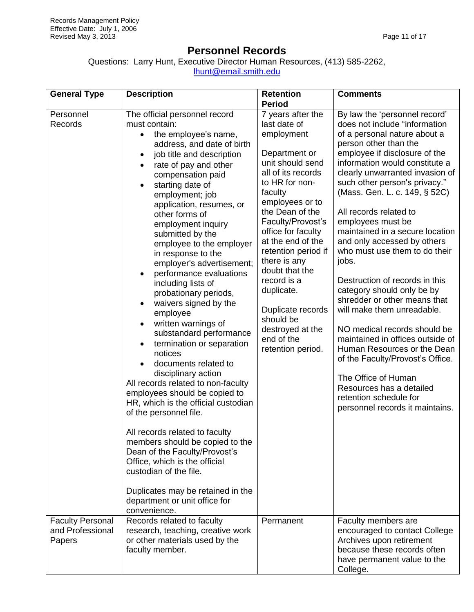## **Personnel Records**

Questions: Larry Hunt, Executive Director Human Resources, (413) 585-2262, [lhunt@email.smith.edu](mailto:lhunt@email.smith.edu)

| <b>General Type</b>                             | <b>Description</b>                                                                                                                                                                                                                                                                                                                                                                                                                                                                                                                                                                                                                                                                                                                                                                                                                                                                                                                                                                                                                                                                                                                          | <b>Retention</b>                                                                                                                                                                                                                                                                                                                                                                                                                          | <b>Comments</b>                                                                                                                                                                                                                                                                                                                                                                                                                                                                                                                                                                                                                                                                                                                                                                                                                                                        |
|-------------------------------------------------|---------------------------------------------------------------------------------------------------------------------------------------------------------------------------------------------------------------------------------------------------------------------------------------------------------------------------------------------------------------------------------------------------------------------------------------------------------------------------------------------------------------------------------------------------------------------------------------------------------------------------------------------------------------------------------------------------------------------------------------------------------------------------------------------------------------------------------------------------------------------------------------------------------------------------------------------------------------------------------------------------------------------------------------------------------------------------------------------------------------------------------------------|-------------------------------------------------------------------------------------------------------------------------------------------------------------------------------------------------------------------------------------------------------------------------------------------------------------------------------------------------------------------------------------------------------------------------------------------|------------------------------------------------------------------------------------------------------------------------------------------------------------------------------------------------------------------------------------------------------------------------------------------------------------------------------------------------------------------------------------------------------------------------------------------------------------------------------------------------------------------------------------------------------------------------------------------------------------------------------------------------------------------------------------------------------------------------------------------------------------------------------------------------------------------------------------------------------------------------|
|                                                 |                                                                                                                                                                                                                                                                                                                                                                                                                                                                                                                                                                                                                                                                                                                                                                                                                                                                                                                                                                                                                                                                                                                                             | <b>Period</b>                                                                                                                                                                                                                                                                                                                                                                                                                             |                                                                                                                                                                                                                                                                                                                                                                                                                                                                                                                                                                                                                                                                                                                                                                                                                                                                        |
| Personnel<br>Records<br><b>Faculty Personal</b> | The official personnel record<br>must contain:<br>the employee's name,<br>$\bullet$<br>address, and date of birth<br>job title and description<br>rate of pay and other<br>compensation paid<br>starting date of<br>$\bullet$<br>employment; job<br>application, resumes, or<br>other forms of<br>employment inquiry<br>submitted by the<br>employee to the employer<br>in response to the<br>employer's advertisement;<br>performance evaluations<br>$\bullet$<br>including lists of<br>probationary periods,<br>waivers signed by the<br>employee<br>written warnings of<br>٠<br>substandard performance<br>termination or separation<br>$\bullet$<br>notices<br>documents related to<br>disciplinary action<br>All records related to non-faculty<br>employees should be copied to<br>HR, which is the official custodian<br>of the personnel file.<br>All records related to faculty<br>members should be copied to the<br>Dean of the Faculty/Provost's<br>Office, which is the official<br>custodian of the file.<br>Duplicates may be retained in the<br>department or unit office for<br>convenience.<br>Records related to faculty | 7 years after the<br>last date of<br>employment<br>Department or<br>unit should send<br>all of its records<br>to HR for non-<br>faculty<br>employees or to<br>the Dean of the<br>Faculty/Provost's<br>office for faculty<br>at the end of the<br>retention period if<br>there is any<br>doubt that the<br>record is a<br>duplicate.<br>Duplicate records<br>should be<br>destroyed at the<br>end of the<br>retention period.<br>Permanent | By law the 'personnel record'<br>does not include "information<br>of a personal nature about a<br>person other than the<br>employee if disclosure of the<br>information would constitute a<br>clearly unwarranted invasion of<br>such other person's privacy."<br>(Mass. Gen. L. c. 149, § 52C)<br>All records related to<br>employees must be<br>maintained in a secure location<br>and only accessed by others<br>who must use them to do their<br>jobs.<br>Destruction of records in this<br>category should only be by<br>shredder or other means that<br>will make them unreadable.<br>NO medical records should be<br>maintained in offices outside of<br>Human Resources or the Dean<br>of the Faculty/Provost's Office.<br>The Office of Human<br>Resources has a detailed<br>retention schedule for<br>personnel records it maintains.<br>Faculty members are |
| and Professional<br>Papers                      | research, teaching, creative work<br>or other materials used by the<br>faculty member.                                                                                                                                                                                                                                                                                                                                                                                                                                                                                                                                                                                                                                                                                                                                                                                                                                                                                                                                                                                                                                                      |                                                                                                                                                                                                                                                                                                                                                                                                                                           | encouraged to contact College<br>Archives upon retirement<br>because these records often<br>have permanent value to the<br>College.                                                                                                                                                                                                                                                                                                                                                                                                                                                                                                                                                                                                                                                                                                                                    |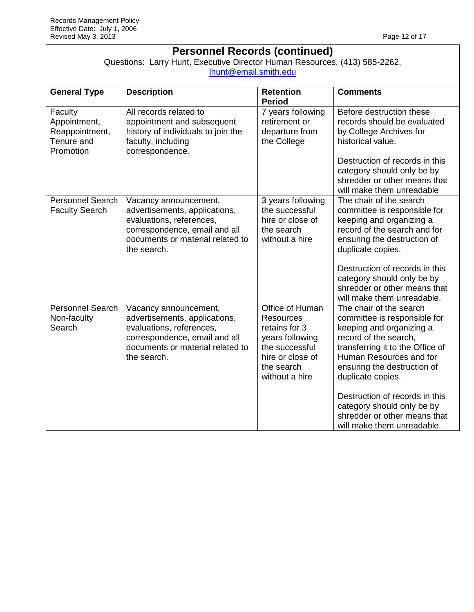| <b>Personnel Records (continued)</b><br>Questions: Larry Hunt, Executive Director Human Resources, (413) 585-2262,<br>lhunt@email.smith.edu |                                                                                                                                                                        |                                                                                                                                               |                                                                                                                                                                                                                                                                                                                                                               |
|---------------------------------------------------------------------------------------------------------------------------------------------|------------------------------------------------------------------------------------------------------------------------------------------------------------------------|-----------------------------------------------------------------------------------------------------------------------------------------------|---------------------------------------------------------------------------------------------------------------------------------------------------------------------------------------------------------------------------------------------------------------------------------------------------------------------------------------------------------------|
| <b>General Type</b>                                                                                                                         | <b>Description</b>                                                                                                                                                     | <b>Retention</b><br><b>Period</b>                                                                                                             | <b>Comments</b>                                                                                                                                                                                                                                                                                                                                               |
| Faculty<br>Appointment,<br>Reappointment,<br>Tenure and<br>Promotion                                                                        | All records related to<br>appointment and subsequent<br>history of individuals to join the<br>faculty, including<br>correspondence.                                    | 7 years following<br>retirement or<br>departure from<br>the College                                                                           | Before destruction these<br>records should be evaluated<br>by College Archives for<br>historical value.<br>Destruction of records in this<br>category should only be by<br>shredder or other means that                                                                                                                                                       |
| <b>Personnel Search</b><br><b>Faculty Search</b>                                                                                            | Vacancy announcement,<br>advertisements, applications,<br>evaluations, references,<br>correspondence, email and all<br>documents or material related to<br>the search. | 3 years following<br>the successful<br>hire or close of<br>the search<br>without a hire                                                       | will make them unreadable<br>The chair of the search<br>committee is responsible for<br>keeping and organizing a<br>record of the search and for<br>ensuring the destruction of<br>duplicate copies.<br>Destruction of records in this<br>category should only be by<br>shredder or other means that<br>will make them unreadable.                            |
| <b>Personnel Search</b><br>Non-faculty<br>Search                                                                                            | Vacancy announcement,<br>advertisements, applications,<br>evaluations, references,<br>correspondence, email and all<br>documents or material related to<br>the search. | Office of Human<br><b>Resources</b><br>retains for 3<br>years following<br>the successful<br>hire or close of<br>the search<br>without a hire | The chair of the search<br>committee is responsible for<br>keeping and organizing a<br>record of the search,<br>transferring it to the Office of<br>Human Resources and for<br>ensuring the destruction of<br>duplicate copies.<br>Destruction of records in this<br>category should only be by<br>shredder or other means that<br>will make them unreadable. |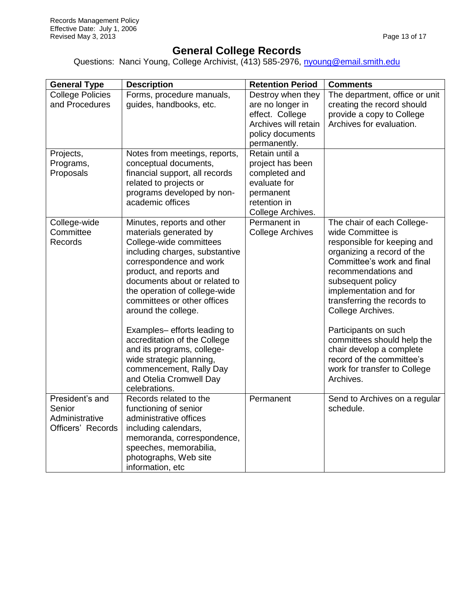## **General College Records**

Questions: Nanci Young, College Archivist, (413) 585-2976, [nyoung@email.smith.edu](mailto:lhunt@email.smith.edu)

| <b>General Type</b>                                              | <b>Description</b>                                                                                                                                                                                                                                                                                                                                                                                                                                                                               | <b>Retention Period</b>                                                                                               | <b>Comments</b>                                                                                                                                                                                                                                                                                                                                                                                                                  |
|------------------------------------------------------------------|--------------------------------------------------------------------------------------------------------------------------------------------------------------------------------------------------------------------------------------------------------------------------------------------------------------------------------------------------------------------------------------------------------------------------------------------------------------------------------------------------|-----------------------------------------------------------------------------------------------------------------------|----------------------------------------------------------------------------------------------------------------------------------------------------------------------------------------------------------------------------------------------------------------------------------------------------------------------------------------------------------------------------------------------------------------------------------|
| <b>College Policies</b><br>and Procedures                        | Forms, procedure manuals,<br>guides, handbooks, etc.                                                                                                                                                                                                                                                                                                                                                                                                                                             | Destroy when they<br>are no longer in<br>effect. College<br>Archives will retain<br>policy documents<br>permanently.  | The department, office or unit<br>creating the record should<br>provide a copy to College<br>Archives for evaluation.                                                                                                                                                                                                                                                                                                            |
| Projects,<br>Programs,<br>Proposals                              | Notes from meetings, reports,<br>conceptual documents,<br>financial support, all records<br>related to projects or<br>programs developed by non-<br>academic offices                                                                                                                                                                                                                                                                                                                             | Retain until a<br>project has been<br>completed and<br>evaluate for<br>permanent<br>retention in<br>College Archives. |                                                                                                                                                                                                                                                                                                                                                                                                                                  |
| College-wide<br>Committee<br>Records                             | Minutes, reports and other<br>materials generated by<br>College-wide committees<br>including charges, substantive<br>correspondence and work<br>product, and reports and<br>documents about or related to<br>the operation of college-wide<br>committees or other offices<br>around the college.<br>Examples-efforts leading to<br>accreditation of the College<br>and its programs, college-<br>wide strategic planning,<br>commencement, Rally Day<br>and Otelia Cromwell Day<br>celebrations. | Permanent in<br><b>College Archives</b>                                                                               | The chair of each College-<br>wide Committee is<br>responsible for keeping and<br>organizing a record of the<br>Committee's work and final<br>recommendations and<br>subsequent policy<br>implementation and for<br>transferring the records to<br>College Archives.<br>Participants on such<br>committees should help the<br>chair develop a complete<br>record of the committee's<br>work for transfer to College<br>Archives. |
| President's and<br>Senior<br>Administrative<br>Officers' Records | Records related to the<br>functioning of senior<br>administrative offices<br>including calendars,<br>memoranda, correspondence,<br>speeches, memorabilia,<br>photographs, Web site<br>information, etc                                                                                                                                                                                                                                                                                           | Permanent                                                                                                             | Send to Archives on a regular<br>schedule.                                                                                                                                                                                                                                                                                                                                                                                       |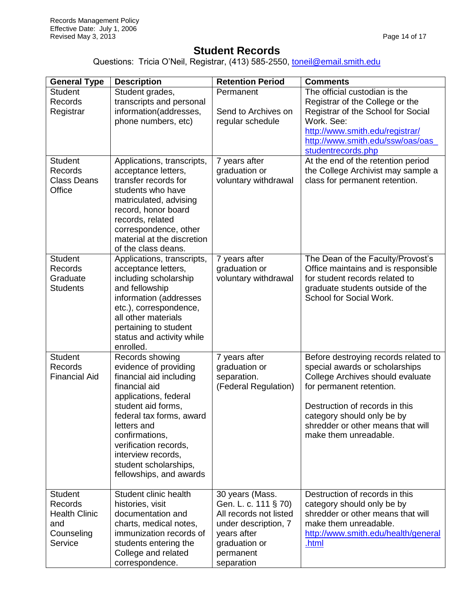## **Student Records**

Questions: Tricia O'Neil, Registrar, (413) 585-2550, [toneil@email.smith.edu](mailto:toneil@email.smith.edu)

| <b>General Type</b>                                                               | <b>Description</b>                                                                                                                                                                                                                                                                                  | <b>Retention Period</b>                                                                                                                              | <b>Comments</b>                                                                                                                                                                                                                                                      |
|-----------------------------------------------------------------------------------|-----------------------------------------------------------------------------------------------------------------------------------------------------------------------------------------------------------------------------------------------------------------------------------------------------|------------------------------------------------------------------------------------------------------------------------------------------------------|----------------------------------------------------------------------------------------------------------------------------------------------------------------------------------------------------------------------------------------------------------------------|
| <b>Student</b><br>Records<br>Registrar                                            | Student grades,<br>transcripts and personal<br>information(addresses,<br>phone numbers, etc)                                                                                                                                                                                                        | Permanent<br>Send to Archives on<br>regular schedule                                                                                                 | The official custodian is the<br>Registrar of the College or the<br>Registrar of the School for Social<br>Work, See:<br>http://www.smith.edu/registrar/<br>http://www.smith.edu/ssw/oas/oas<br>studentrecords.php                                                    |
| <b>Student</b><br>Records<br><b>Class Deans</b><br>Office                         | Applications, transcripts,<br>acceptance letters,<br>transfer records for<br>students who have<br>matriculated, advising<br>record, honor board<br>records, related<br>correspondence, other<br>material at the discretion<br>of the class deans.                                                   | 7 years after<br>graduation or<br>voluntary withdrawal                                                                                               | At the end of the retention period<br>the College Archivist may sample a<br>class for permanent retention.                                                                                                                                                           |
| <b>Student</b><br>Records<br>Graduate<br><b>Students</b>                          | Applications, transcripts,<br>acceptance letters,<br>including scholarship<br>and fellowship<br>information (addresses<br>etc.), correspondence,<br>all other materials<br>pertaining to student<br>status and activity while<br>enrolled.                                                          | 7 years after<br>graduation or<br>voluntary withdrawal                                                                                               | The Dean of the Faculty/Provost's<br>Office maintains and is responsible<br>for student records related to<br>graduate students outside of the<br>School for Social Work.                                                                                            |
| <b>Student</b><br>Records<br><b>Financial Aid</b>                                 | Records showing<br>evidence of providing<br>financial aid including<br>financial aid<br>applications, federal<br>student aid forms,<br>federal tax forms, award<br>letters and<br>confirmations,<br>verification records,<br>interview records,<br>student scholarships,<br>fellowships, and awards | 7 years after<br>graduation or<br>separation.<br>(Federal Regulation)                                                                                | Before destroying records related to<br>special awards or scholarships<br>College Archives should evaluate<br>for permanent retention.<br>Destruction of records in this<br>category should only be by<br>shredder or other means that will<br>make them unreadable. |
| <b>Student</b><br>Records<br><b>Health Clinic</b><br>and<br>Counseling<br>Service | Student clinic health<br>histories, visit<br>documentation and<br>charts, medical notes,<br>immunization records of<br>students entering the<br>College and related<br>correspondence.                                                                                                              | 30 years (Mass.<br>Gen. L. c. 111 § 70)<br>All records not listed<br>under description, 7<br>years after<br>graduation or<br>permanent<br>separation | Destruction of records in this<br>category should only be by<br>shredder or other means that will<br>make them unreadable.<br>http://www.smith.edu/health/general<br>.html                                                                                           |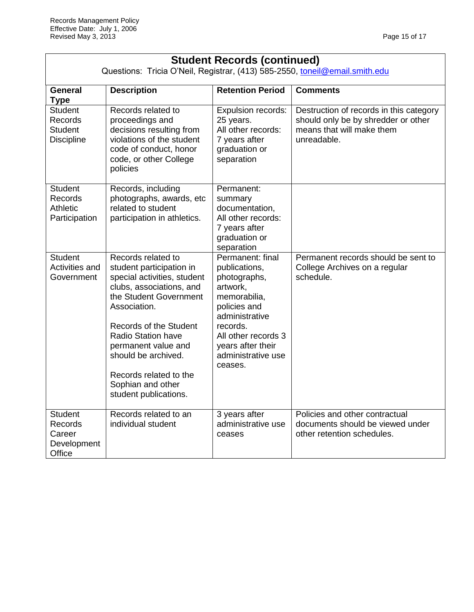| <b>Student Records (continued)</b><br>Questions: Tricia O'Neil, Registrar, (413) 585-2550, toneil@email.smith.edu |                                                                                                                                                                                                                                                                                                                                  |                                                                                                                                                                                                          |                                                                                                                            |
|-------------------------------------------------------------------------------------------------------------------|----------------------------------------------------------------------------------------------------------------------------------------------------------------------------------------------------------------------------------------------------------------------------------------------------------------------------------|----------------------------------------------------------------------------------------------------------------------------------------------------------------------------------------------------------|----------------------------------------------------------------------------------------------------------------------------|
| General<br><b>Type</b>                                                                                            | <b>Description</b>                                                                                                                                                                                                                                                                                                               | <b>Retention Period</b>                                                                                                                                                                                  | <b>Comments</b>                                                                                                            |
| <b>Student</b><br>Records<br><b>Student</b><br><b>Discipline</b>                                                  | Records related to<br>proceedings and<br>decisions resulting from<br>violations of the student<br>code of conduct, honor<br>code, or other College<br>policies                                                                                                                                                                   | Expulsion records:<br>25 years.<br>All other records:<br>7 years after<br>graduation or<br>separation                                                                                                    | Destruction of records in this category<br>should only be by shredder or other<br>means that will make them<br>unreadable. |
| <b>Student</b><br>Records<br>Athletic<br>Participation                                                            | Records, including<br>photographs, awards, etc<br>related to student<br>participation in athletics.                                                                                                                                                                                                                              | Permanent:<br>summary<br>documentation,<br>All other records:<br>7 years after<br>graduation or<br>separation                                                                                            |                                                                                                                            |
| <b>Student</b><br>Activities and<br>Government                                                                    | Records related to<br>student participation in<br>special activities, student<br>clubs, associations, and<br>the Student Government<br>Association.<br>Records of the Student<br><b>Radio Station have</b><br>permanent value and<br>should be archived.<br>Records related to the<br>Sophian and other<br>student publications. | Permanent: final<br>publications,<br>photographs,<br>artwork,<br>memorabilia,<br>policies and<br>administrative<br>records.<br>All other records 3<br>years after their<br>administrative use<br>ceases. | Permanent records should be sent to<br>College Archives on a regular<br>schedule.                                          |
| <b>Student</b><br>Records<br>Career<br>Development<br>Office                                                      | Records related to an<br>individual student                                                                                                                                                                                                                                                                                      | 3 years after<br>administrative use<br>ceases                                                                                                                                                            | Policies and other contractual<br>documents should be viewed under<br>other retention schedules.                           |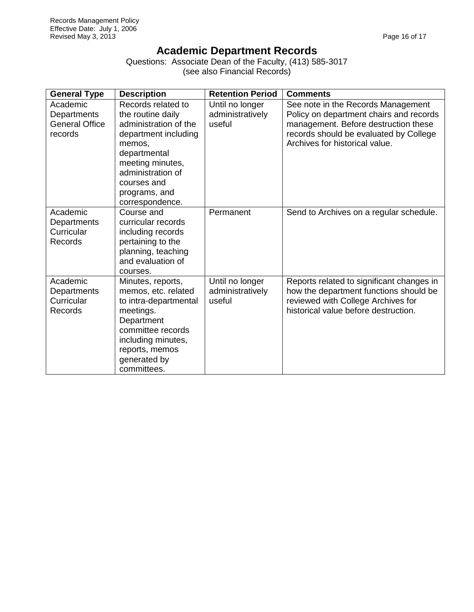## **Academic Department Records**

Questions: Associate Dean of the Faculty, (413) 585-3017 (see also Financial Records)

| <b>General Type</b>                                         | <b>Description</b>                                                                                                                                                                                             | <b>Retention Period</b>                       | <b>Comments</b>                                                                                                                                                                                   |
|-------------------------------------------------------------|----------------------------------------------------------------------------------------------------------------------------------------------------------------------------------------------------------------|-----------------------------------------------|---------------------------------------------------------------------------------------------------------------------------------------------------------------------------------------------------|
| Academic<br>Departments<br><b>General Office</b><br>records | Records related to<br>the routine daily<br>administration of the<br>department including<br>memos,<br>departmental<br>meeting minutes,<br>administration of<br>courses and<br>programs, and<br>correspondence. | Until no longer<br>administratively<br>useful | See note in the Records Management<br>Policy on department chairs and records<br>management. Before destruction these<br>records should be evaluated by College<br>Archives for historical value. |
| Academic<br>Departments<br>Curricular<br>Records            | Course and<br>curricular records<br>including records<br>pertaining to the<br>planning, teaching<br>and evaluation of<br>courses.                                                                              | Permanent                                     | Send to Archives on a regular schedule.                                                                                                                                                           |
| Academic<br>Departments<br>Curricular<br>Records            | Minutes, reports,<br>memos, etc. related<br>to intra-departmental<br>meetings.<br>Department<br>committee records<br>including minutes,<br>reports, memos<br>generated by<br>committees.                       | Until no longer<br>administratively<br>useful | Reports related to significant changes in<br>how the department functions should be<br>reviewed with College Archives for<br>historical value before destruction.                                 |